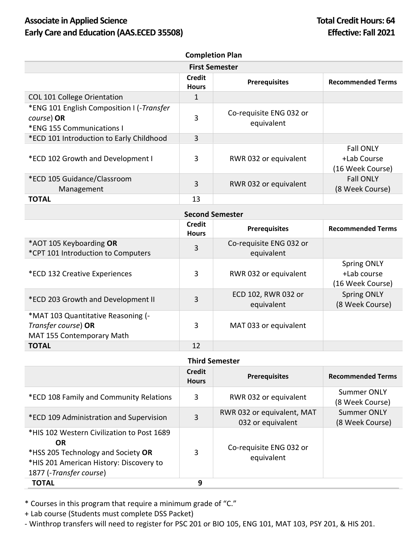## Associate in Applied Science **Total Credit Hours: 64 Early Care and Education (AAS.ECED 35508) Effective: Fall 2021**

| <b>Completion Plan</b>                                                               |                               |                                       |                                                     |
|--------------------------------------------------------------------------------------|-------------------------------|---------------------------------------|-----------------------------------------------------|
| <b>First Semester</b>                                                                |                               |                                       |                                                     |
|                                                                                      | <b>Credit</b><br><b>Hours</b> | <b>Prerequisites</b>                  | <b>Recommended Terms</b>                            |
| <b>COL 101 College Orientation</b>                                                   | 1                             |                                       |                                                     |
| *ENG 101 English Composition I (-Transfer<br>course) OR<br>*ENG 155 Communications I | 3                             | Co-requisite ENG 032 or<br>equivalent |                                                     |
| *ECD 101 Introduction to Early Childhood                                             | 3                             |                                       |                                                     |
| *ECD 102 Growth and Development I                                                    | 3                             | RWR 032 or equivalent                 | <b>Fall ONLY</b><br>+Lab Course<br>(16 Week Course) |
| *ECD 105 Guidance/Classroom<br>Management                                            | 3                             | RWR 032 or equivalent                 | <b>Fall ONLY</b><br>(8 Week Course)                 |
| <b>TOTAL</b>                                                                         | 13                            |                                       |                                                     |

| <b>Second Semester</b>                                                                 |                               |                                       |                                                       |
|----------------------------------------------------------------------------------------|-------------------------------|---------------------------------------|-------------------------------------------------------|
|                                                                                        | <b>Credit</b><br><b>Hours</b> | <b>Prerequisites</b>                  | <b>Recommended Terms</b>                              |
| *AOT 105 Keyboarding OR<br>*CPT 101 Introduction to Computers                          | 3                             | Co-requisite ENG 032 or<br>equivalent |                                                       |
| *ECD 132 Creative Experiences                                                          | 3                             | RWR 032 or equivalent                 | <b>Spring ONLY</b><br>+Lab course<br>(16 Week Course) |
| *ECD 203 Growth and Development II                                                     | 3                             | ECD 102, RWR 032 or<br>equivalent     | <b>Spring ONLY</b><br>(8 Week Course)                 |
| *MAT 103 Quantitative Reasoning (-<br>Transfer course) OR<br>MAT 155 Contemporary Math | 3                             | MAT 033 or equivalent                 |                                                       |
| <b>TOTAL</b>                                                                           | 12                            |                                       |                                                       |

| <b>Third Semester</b>                                                                                                                                               |                               |                                                 |                                       |
|---------------------------------------------------------------------------------------------------------------------------------------------------------------------|-------------------------------|-------------------------------------------------|---------------------------------------|
|                                                                                                                                                                     | <b>Credit</b><br><b>Hours</b> | <b>Prerequisites</b>                            | <b>Recommended Terms</b>              |
| *ECD 108 Family and Community Relations                                                                                                                             | 3                             | RWR 032 or equivalent                           | <b>Summer ONLY</b><br>(8 Week Course) |
| *ECD 109 Administration and Supervision                                                                                                                             | 3                             | RWR 032 or equivalent, MAT<br>032 or equivalent | Summer ONLY<br>(8 Week Course)        |
| *HIS 102 Western Civilization to Post 1689<br><b>OR</b><br>*HSS 205 Technology and Society OR<br>*HIS 201 American History: Discovery to<br>1877 (-Transfer course) | 3                             | Co-requisite ENG 032 or<br>equivalent           |                                       |
| <b>TOTAL</b>                                                                                                                                                        | 9                             |                                                 |                                       |

\* Courses in this program that require a minimum grade of "C."

+ Lab course (Students must complete DSS Packet)

- Winthrop transfers will need to register for PSC 201 or BIO 105, ENG 101, MAT 103, PSY 201, & HIS 201.